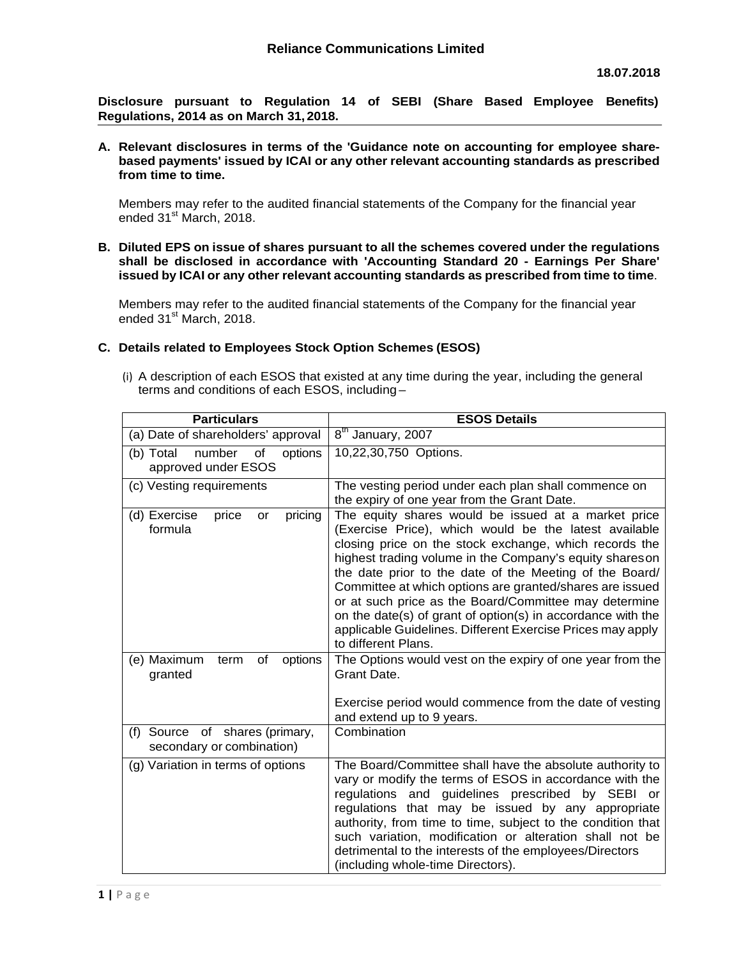**Disclosure pursuant to Regulation 14 of SEBI (Share Based Employee Benefits) Regulations, 2014 as on March 31, 2018.**

**A. Relevant disclosures in terms of the 'Guidance note on accounting for employee sharebased payments' issued by ICAI or any other relevant accounting standards as prescribed from time to time.**

Members may refer to the audited financial statements of the Company for the financial year ended 31<sup>st</sup> March, 2018.

**B. Diluted EPS on issue of shares pursuant to all the schemes covered under the regulations shall be disclosed in accordance with 'Accounting Standard 20 - Earnings Per Share' issued by ICAI or any other relevant accounting standards as prescribed from time to time**.

Members may refer to the audited financial statements of the Company for the financial year ended 31<sup>st</sup> March, 2018.

# **C. Details related to Employees Stock Option Schemes (ESOS)**

(i) A description of each ESOS that existed at any time during the year, including the general terms and conditions of each ESOS, including –

| <b>Particulars</b>                                          | <b>ESOS Details</b>                                                                                                                                                                                                                                                                                                                                                                                                                                                                                                                                                    |
|-------------------------------------------------------------|------------------------------------------------------------------------------------------------------------------------------------------------------------------------------------------------------------------------------------------------------------------------------------------------------------------------------------------------------------------------------------------------------------------------------------------------------------------------------------------------------------------------------------------------------------------------|
| (a) Date of shareholders' approval                          | $8th$ January, 2007                                                                                                                                                                                                                                                                                                                                                                                                                                                                                                                                                    |
| number<br>of<br>options<br>(b) Total<br>approved under ESOS | 10,22,30,750 Options.                                                                                                                                                                                                                                                                                                                                                                                                                                                                                                                                                  |
| (c) Vesting requirements                                    | The vesting period under each plan shall commence on<br>the expiry of one year from the Grant Date.                                                                                                                                                                                                                                                                                                                                                                                                                                                                    |
| pricing<br>(d) Exercise<br>price<br>or<br>formula           | The equity shares would be issued at a market price<br>(Exercise Price), which would be the latest available<br>closing price on the stock exchange, which records the<br>highest trading volume in the Company's equity shares on<br>the date prior to the date of the Meeting of the Board/<br>Committee at which options are granted/shares are issued<br>or at such price as the Board/Committee may determine<br>on the date(s) of grant of option(s) in accordance with the<br>applicable Guidelines. Different Exercise Prices may apply<br>to different Plans. |
| of<br>options<br>(e) Maximum<br>term<br>granted             | The Options would vest on the expiry of one year from the<br>Grant Date.                                                                                                                                                                                                                                                                                                                                                                                                                                                                                               |
|                                                             | Exercise period would commence from the date of vesting<br>and extend up to 9 years.                                                                                                                                                                                                                                                                                                                                                                                                                                                                                   |
| (f) Source of shares (primary,<br>secondary or combination) | Combination                                                                                                                                                                                                                                                                                                                                                                                                                                                                                                                                                            |
| (g) Variation in terms of options                           | The Board/Committee shall have the absolute authority to<br>vary or modify the terms of ESOS in accordance with the<br>regulations and guidelines prescribed by SEBI or<br>regulations that may be issued by any appropriate<br>authority, from time to time, subject to the condition that<br>such variation, modification or alteration shall not be<br>detrimental to the interests of the employees/Directors<br>(including whole-time Directors).                                                                                                                 |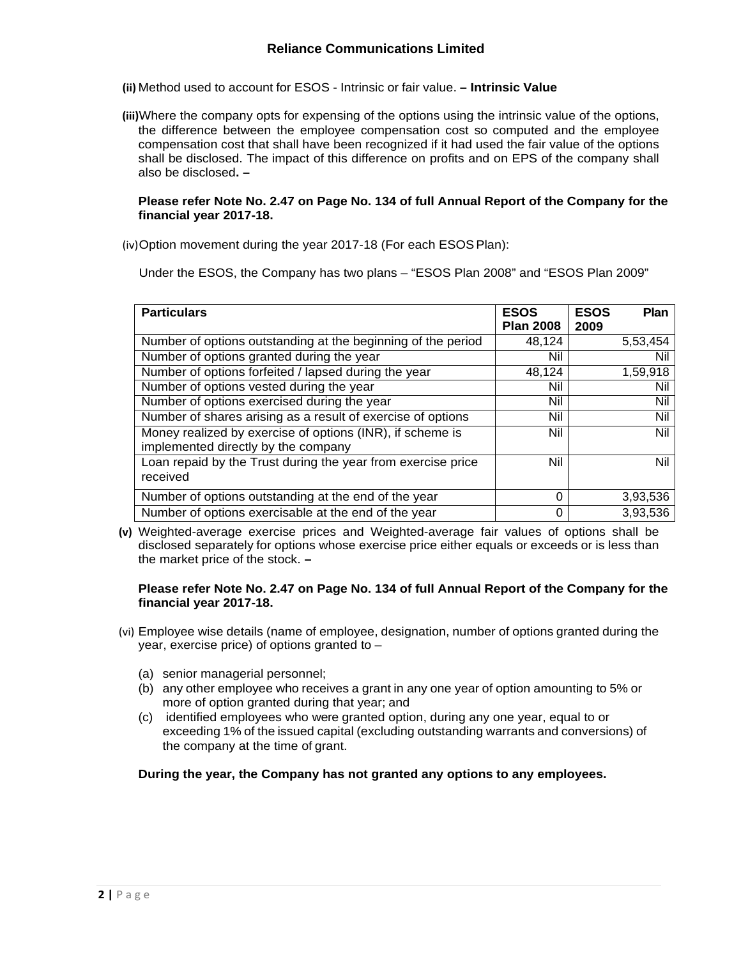- **(ii)** Method used to account for ESOS Intrinsic or fair value.  **Intrinsic Value**
- **(iii)**Where the company opts for expensing of the options using the intrinsic value of the options, the difference between the employee compensation cost so computed and the employee compensation cost that shall have been recognized if it had used the fair value of the options shall be disclosed. The impact of this difference on profits and on EPS of the company shall also be disclosed**. –**

### **Please refer Note No. 2.47 on Page No. 134 of full Annual Report of the Company for the financial year 2017-18.**

(iv)Option movement during the year 2017-18 (For each ESOS Plan):

Under the ESOS, the Company has two plans – "ESOS Plan 2008" and "ESOS Plan 2009"

| <b>Particulars</b>                                                                               | <b>ESOS</b><br><b>Plan 2008</b> | <b>ESOS</b><br><b>Plan</b><br>2009 |
|--------------------------------------------------------------------------------------------------|---------------------------------|------------------------------------|
| Number of options outstanding at the beginning of the period                                     | 48,124                          | 5,53,454                           |
| Number of options granted during the year                                                        | Nil                             | Nil                                |
| Number of options forfeited / lapsed during the year                                             | 48,124                          | 1,59,918                           |
| Number of options vested during the year                                                         | Nil                             | Nil                                |
| Number of options exercised during the year                                                      | Nil                             | Nil                                |
| Number of shares arising as a result of exercise of options                                      | Nil                             | Nil                                |
| Money realized by exercise of options (INR), if scheme is<br>implemented directly by the company | Nil                             | Nil                                |
| Loan repaid by the Trust during the year from exercise price<br>received                         | Nil                             | Nil                                |
| Number of options outstanding at the end of the year                                             | 0                               | 3,93,536                           |
| Number of options exercisable at the end of the year                                             | O                               | 3,93,536                           |

**(v)** Weighted-average exercise prices and Weighted-average fair values of options shall be disclosed separately for options whose exercise price either equals or exceeds or is less than the market price of the stock. **–**

### **Please refer Note No. 2.47 on Page No. 134 of full Annual Report of the Company for the financial year 2017-18.**

- (vi) Employee wise details (name of employee, designation, number of options granted during the year, exercise price) of options granted to –
	- (a) senior managerial personnel;
	- (b) any other employee who receives a grant in any one year of option amounting to 5% or more of option granted during that year; and
	- (c) identified employees who were granted option, during any one year, equal to or exceeding 1% of the issued capital (excluding outstanding warrants and conversions) of the company at the time of grant.

## **During the year, the Company has not granted any options to any employees.**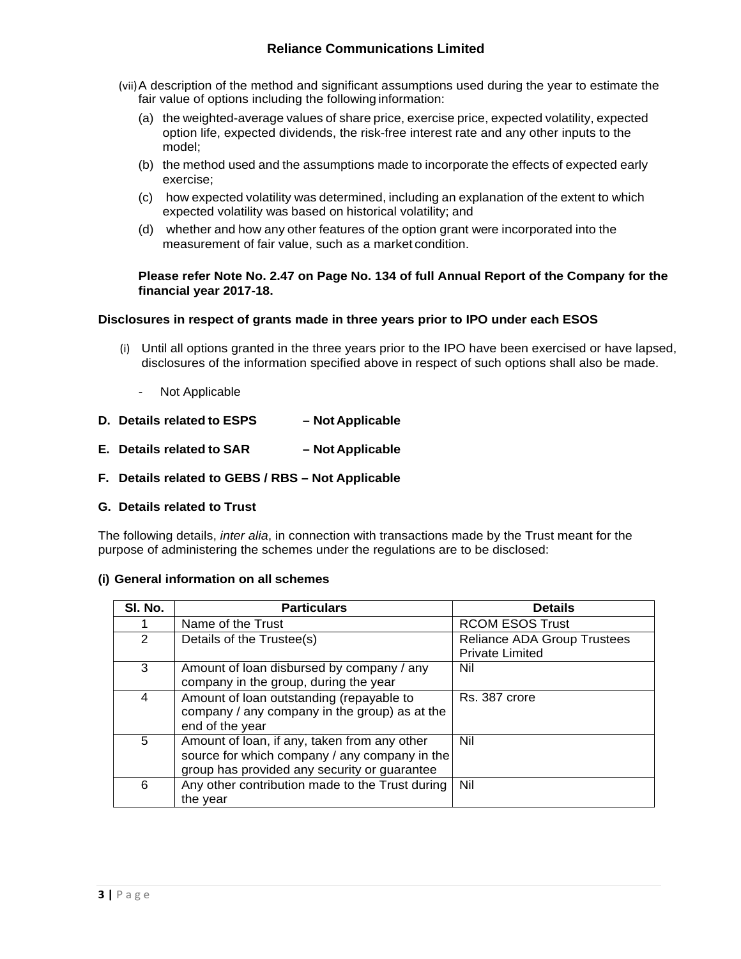- (vii)A description of the method and significant assumptions used during the year to estimate the fair value of options including the following information:
	- (a) the weighted-average values of share price, exercise price, expected volatility, expected option life, expected dividends, the risk-free interest rate and any other inputs to the model;
	- (b) the method used and the assumptions made to incorporate the effects of expected early exercise;
	- (c) how expected volatility was determined, including an explanation of the extent to which expected volatility was based on historical volatility; and
	- (d) whether and how any other features of the option grant were incorporated into the measurement of fair value, such as a market condition.

### **Please refer Note No. 2.47 on Page No. 134 of full Annual Report of the Company for the financial year 2017-18.**

## **Disclosures in respect of grants made in three years prior to IPO under each ESOS**

- (i) Until all options granted in the three years prior to the IPO have been exercised or have lapsed, disclosures of the information specified above in respect of such options shall also be made.
	- Not Applicable
- **D. Details related to ESPS Not Applicable**
- **E. Details related to SAR Not Applicable**
- **F. Details related to GEBS / RBS Not Applicable**

#### **G. Details related to Trust**

The following details, *inter alia*, in connection with transactions made by the Trust meant for the purpose of administering the schemes under the regulations are to be disclosed:

#### **(i) General information on all schemes**

| SI. No.       | <b>Particulars</b>                              | <b>Details</b>              |
|---------------|-------------------------------------------------|-----------------------------|
|               | Name of the Trust                               | <b>RCOM ESOS Trust</b>      |
| $\mathcal{P}$ | Details of the Trustee(s)                       | Reliance ADA Group Trustees |
|               |                                                 | <b>Private Limited</b>      |
| 3             | Amount of loan disbursed by company / any       | Nil                         |
|               | company in the group, during the year           |                             |
| 4             | Amount of loan outstanding (repayable to        | Rs. 387 crore               |
|               | company / any company in the group) as at the   |                             |
|               | end of the year                                 |                             |
| 5             | Amount of loan, if any, taken from any other    | Nil                         |
|               | source for which company / any company in the   |                             |
|               | group has provided any security or guarantee    |                             |
| 6             | Any other contribution made to the Trust during | Nil                         |
|               | the year                                        |                             |